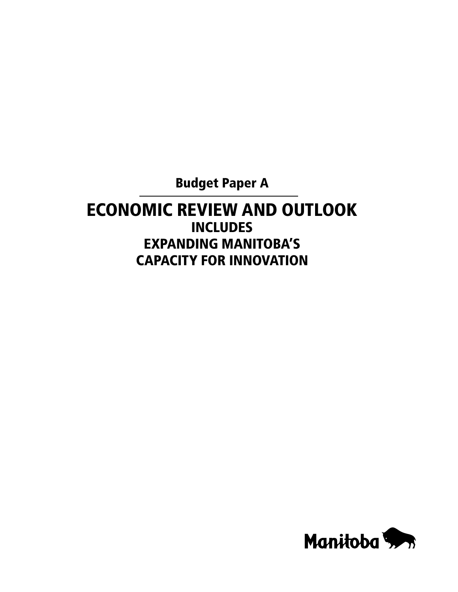Budget Paper A

# Economic Review and Outlook **INCLUDES** expanding Manitoba's Capacity for Innovation

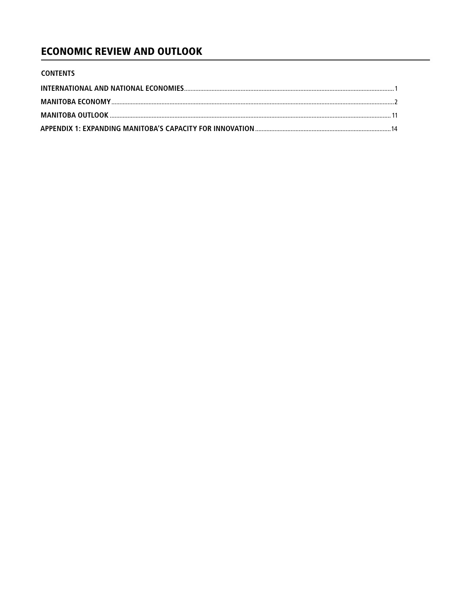## **ECONOMIC REVIEW AND OUTLOOK**

| <b>CONTENTS</b> |  |
|-----------------|--|
|                 |  |
|                 |  |
|                 |  |
|                 |  |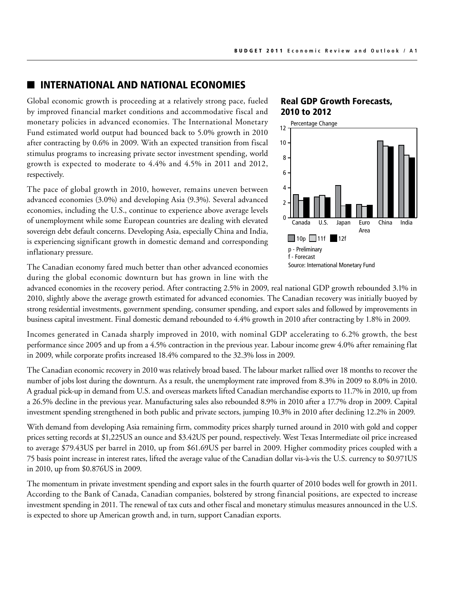#### **INTERNATIONAL AND NATIONAL ECONOMIES**

Global economic growth is proceeding at a relatively strong pace, fueled by improved financial market conditions and accommodative fiscal and monetary policies in advanced economies. The International Monetary Fund estimated world output had bounced back to 5.0% growth in 2010 after contracting by 0.6% in 2009. With an expected transition from fiscal stimulus programs to increasing private sector investment spending, world growth is expected to moderate to 4.4% and 4.5% in 2011 and 2012, respectively.

The pace of global growth in 2010, however, remains uneven between advanced economies (3.0%) and developing Asia (9.3%). Several advanced economies, including the U.S., continue to experience above average levels of unemployment while some European countries are dealing with elevated sovereign debt default concerns. Developing Asia, especially China and India, is experiencing significant growth in domestic demand and corresponding inflationary pressure.

#### Real GDP Growth Forecasts, 2010 to 2012



The Canadian economy fared much better than other advanced economies during the global economic downturn but has grown in line with the

advanced economies in the recovery period. After contracting 2.5% in 2009, real national GDP growth rebounded 3.1% in 2010, slightly above the average growth estimated for advanced economies. The Canadian recovery was initially buoyed by strong residential investments, government spending, consumer spending, and export sales and followed by improvements in business capital investment. Final domestic demand rebounded to 4.4% growth in 2010 after contracting by 1.8% in 2009.

Incomes generated in Canada sharply improved in 2010, with nominal GDP accelerating to 6.2% growth, the best performance since 2005 and up from a 4.5% contraction in the previous year. Labour income grew 4.0% after remaining flat in 2009, while corporate profits increased 18.4% compared to the 32.3% loss in 2009.  $\lim_{n \to \infty} \frac{1}{n}$ 

The Canadian economic recovery in 2010 was relatively broad based. The labour market rallied over 18 months to recover the number of jobs lost during the downturn. As a result, the unemployment rate improved from 8.3% in 2009 to 8.0% in 2010. A gradual pick-up in demand from U.S. and overseas markets lifted Canadian merchandise exports to 11.7% in 2010, up from a 26.5% decline in the previous year. Manufacturing sales also rebounded 8.9% in 2010 after a 17.7% drop in 2009. Capital investment spending strengthened in both public and private sectors, jumping 10.3% in 2010 after declining 12.2% in 2009.

With demand from developing Asia remaining firm, commodity prices sharply turned around in 2010 with gold and copper prices setting records at \$1,225US an ounce and \$3.42US per pound, respectively. West Texas Intermediate oil price increased to average \$79.43US per barrel in 2010, up from \$61.69US per barrel in 2009. Higher commodity prices coupled with a 75 basis point increase in interest rates, lifted the average value of the Canadian dollar vis-à-vis the U.S. currency to \$0.971US in 2010, up from \$0.876US in 2009.

The momentum in private investment spending and export sales in the fourth quarter of 2010 bodes well for growth in 2011. According to the Bank of Canada, Canadian companies, bolstered by strong financial positions, are expected to increase investment spending in 2011. The renewal of tax cuts and other fiscal and monetary stimulus measures announced in the U.S. is expected to shore up American growth and, in turn, support Canadian exports.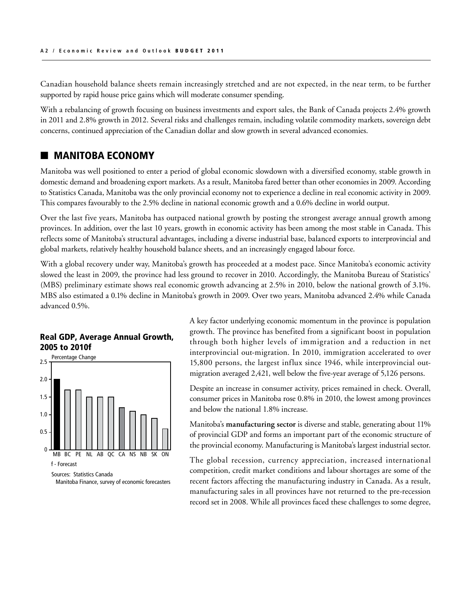Canadian household balance sheets remain increasingly stretched and are not expected, in the near term, to be further supported by rapid house price gains which will moderate consumer spending.

With a rebalancing of growth focusing on business investments and export sales, the Bank of Canada projects 2.4% growth in 2011 and 2.8% growth in 2012. Several risks and challenges remain, including volatile commodity markets, sovereign debt concerns, continued appreciation of the Canadian dollar and slow growth in several advanced economies.

#### **MANITOBA ECONOMY**

Manitoba was well positioned to enter a period of global economic slowdown with a diversified economy, stable growth in domestic demand and broadening export markets. As a result, Manitoba fared better than other economies in 2009. According to Statistics Canada, Manitoba was the only provincial economy not to experience a decline in real economic activity in 2009. This compares favourably to the 2.5% decline in national economic growth and a 0.6% decline in world output.

Over the last five years, Manitoba has outpaced national growth by posting the strongest average annual growth among provinces. In addition, over the last 10 years, growth in economic activity has been among the most stable in Canada. This reflects some of Manitoba's structural advantages, including a diverse industrial base, balanced exports to interprovincial and global markets, relatively healthy household balance sheets, and an increasingly engaged labour force.

With a global recovery under way, Manitoba's growth has proceeded at a modest pace. Since Manitoba's economic activity slowed the least in 2009, the province had less ground to recover in 2010. Accordingly, the Manitoba Bureau of Statistics' (MBS) preliminary estimate shows real economic growth advancing at 2.5% in 2010, below the national growth of 3.1%. MBS also estimated a 0.1% decline in Manitoba's growth in 2009. Over two years, Manitoba advanced 2.4% while Canada advanced 0.5%.

#### Real GDP, Average Annual Growth, 2005 to 2010f



Manitoba Finance, survey of economic forecasters

A key factor underlying economic momentum in the province is population growth. The province has benefited from a significant boost in population through both higher levels of immigration and a reduction in net interprovincial out-migration. In 2010, immigration accelerated to over 15,800 persons, the largest influx since 1946, while interprovincial outmigration averaged 2,421, well below the five-year average of 5,126 persons.

Despite an increase in consumer activity, prices remained in check. Overall, consumer prices in Manitoba rose 0.8% in 2010, the lowest among provinces and below the national 1.8% increase.

Manitoba's **manufacturing sector** is diverse and stable, generating about 11% of provincial GDP and forms an important part of the economic structure of the provincial economy. Manufacturing is Manitoba's largest industrial sector.

The global recession, currency appreciation, increased international competition, credit market conditions and labour shortages are some of the recent factors affecting the manufacturing industry in Canada. As a result, manufacturing sales in all provinces have not returned to the pre-recession record set in 2008. While all provinces faced these challenges to some degree,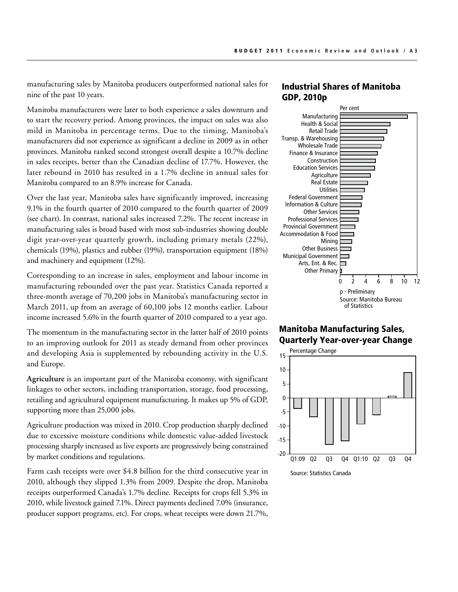manufacturing sales by Manitoba producers outperformed national sales for nine of the past 10 years.

Manitoba manufacturers were later to both experience a sales downturn and to start the recovery period. Among provinces, the impact on sales was also mild in Manitoba in percentage terms. Due to the timing, Manitoba's manufacturers did not experience as significant a decline in 2009 as in other provinces. Manitoba ranked second strongest overall despite a 10.7% decline in sales receipts, better than the Canadian decline of 17.7%. However, the later rebound in 2010 has resulted in a 1.7% decline in annual sales for Manitoba compared to an 8.9% increase for Canada.

Over the last year, Manitoba sales have significantly improved, increasing 9.1% in the fourth quarter of 2010 compared to the fourth quarter of 2009 (see chart). In contrast, national sales increased 7.2%. The recent increase in manufacturing sales is broad based with most sub-industries showing double digit year-over-year quarterly growth, including primary metals (22%), chemicals (19%), plastics and rubber (19%), transportation equipment (18%) and machinery and equipment (12%).

Corresponding to an increase in sales, employment and labour income in manufacturing rebounded over the past year. Statistics Canada reported a three-month average of 70,200 jobs in Manitoba's manufacturing sector in March 2011, up from an average of 60,100 jobs 12 months earlier. Labour income increased 5.6% in the fourth quarter of 2010 compared to a year ago.

The momentum in the manufacturing sector in the latter half of 2010 points to an improving outlook for 2011 as steady demand from other provinces and developing Asia is supplemented by rebounding activity in the U.S. and Europe.

**Agriculture** is an important part of the Manitoba economy, with significant linkages to other sectors, including transportation, storage, food processing, retailing and agricultural equipment manufacturing. It makes up 5% of GDP, supporting more than 25,000 jobs.

Agriculture production was mixed in 2010. Crop production sharply declined due to excessive moisture conditions while domestic value-added livestock processing sharply increased as live exports are progressively being constrained by market conditions and regulations.

Farm cash receipts were over \$4.8 billion for the third consecutive year in 2010, although they slipped 1.3% from 2009. Despite the drop, Manitoba receipts outperformed Canada's 1.7% decline. Receipts for crops fell 5.3% in 2010, while livestock gained 7.1%. Direct payments declined 7.0% (insurance, producer support programs, etc). For crops, wheat receipts were down 21.7%,

#### Industrial Shares of Manitoba GDP, 2010p



#### Manitoba Manufacturing Sales, Quarterly Year-over-year Change

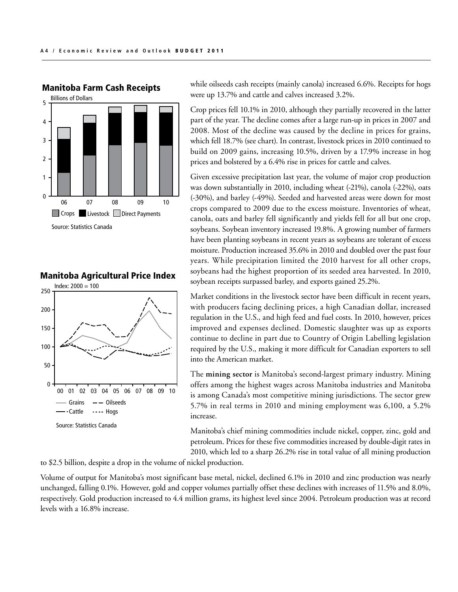

## Manitoba Farm Cash Receipts

Manitoba Agricultural Price Index



while oilseeds cash receipts (mainly canola) increased 6.6%. Receipts for hogs were up 13.7% and cattle and calves increased 3.2%.

Crop prices fell 10.1% in 2010, although they partially recovered in the latter part of the year. The decline comes after a large run-up in prices in 2007 and 2008. Most of the decline was caused by the decline in prices for grains, which fell 18.7% (see chart). In contrast, livestock prices in 2010 continued to build on 2009 gains, increasing 10.5%, driven by a 17.9% increase in hog prices and bolstered by a 6.4% rise in prices for cattle and calves.

Given excessive precipitation last year, the volume of major crop production was down substantially in 2010, including wheat (-21%), canola (-22%), oats (-30%), and barley (-49%). Seeded and harvested areas were down for most crops compared to 2009 due to the excess moisture. Inventories of wheat, canola, oats and barley fell significantly and yields fell for all but one crop, soybeans. Soybean inventory increased 19.8%. A growing number of farmers have been planting soybeans in recent years as soybeans are tolerant of excess moisture. Production increased 35.6% in 2010 and doubled over the past four years. While precipitation limited the 2010 harvest for all other crops, soybeans had the highest proportion of its seeded area harvested. In 2010, soybean receipts surpassed barley, and exports gained 25.2%.

Market conditions in the livestock sector have been difficult in recent years, with producers facing declining prices, a high Canadian dollar, increased regulation in the U.S., and high feed and fuel costs. In 2010, however, prices improved and expenses declined. Domestic slaughter was up as exports continue to decline in part due to Country of Origin Labelling legislation required by the U.S., making it more difficult for Canadian exporters to sell into the American market.

The **mining sector** is Manitoba's second-largest primary industry. Mining offers among the highest wages across Manitoba industries and Manitoba is among Canada's most competitive mining jurisdictions. The sector grew 5.7% in real terms in 2010 and mining employment was 6,100, a 5.2% increase.

Manitoba's chief mining commodities include nickel, copper, zinc, gold and petroleum. Prices for these five commodities increased by double-digit rates in 2010, which led to a sharp 26.2% rise in total value of all mining production

to \$2.5 billion, despite a drop in the volume of nickel production.

Volume of output for Manitoba's most significant base metal, nickel, declined 6.1% in 2010 and zinc production was nearly and the contract of the contract of the contract of the contract of the contract of the contract of unchanged, falling 0.1%. However, gold and copper volumes partially offset these declines with increases of 11.5% and 8.0%, respectively. Gold production increased to 4.4 million grams, its highest level since 2004. Petroleum production was at record levels with a 16.8% increase.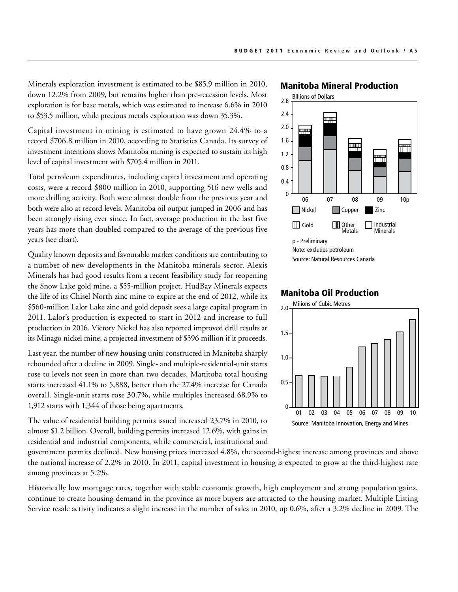Minerals exploration investment is estimated to be \$85.9 million in 2010, down 12.2% from 2009, but remains higher than pre-recession levels. Most exploration is for base metals, which was estimated to increase 6.6% in 2010 to \$53.5 million, while precious metals exploration was down 35.3%.

Capital investment in mining is estimated to have grown 24.4% to a record \$706.8 million in 2010, according to Statistics Canada. Its survey of investment intentions shows Manitoba mining is expected to sustain its high level of capital investment with \$705.4 million in 2011.

Total petroleum expenditures, including capital investment and operating costs, were a record \$800 million in 2010, supporting 516 new wells and more drilling activity. Both were almost double from the previous year and both were also at record levels. Manitoba oil output jumped in 2006 and has been strongly rising ever since. In fact, average production in the last five years has more than doubled compared to the average of the previous five years (see chart).

Quality known deposits and favourable market conditions are contributing to a number of new developments in the Manitoba minerals sector. Alexis Minerals has had good results from a recent feasibility study for reopening the Snow Lake gold mine, a \$55-million project. HudBay Minerals expects the life of its Chisel North zinc mine to expire at the end of 2012, while its \$560-million Lalor Lake zinc and gold deposit sees a large capital program in 2011. Lalor's production is expected to start in 2012 and increase to full production in 2016. Victory Nickel has also reported improved drill results at its Minago nickel mine, a projected investment of \$596 million if it proceeds.

Last year, the number of new **housing** units constructed in Manitoba sharply rebounded after a decline in 2009. Single- and multiple-residential-unit starts rose to levels not seen in more than two decades. Manitoba total housing starts increased 41.1% to 5,888, better than the 27.4% increase for Canada overall. Single-unit starts rose 30.7%, while multiples increased 68.9% to 1,912 starts with 1,344 of those being apartments.

The value of residential building permits issued increased 23.7% in 2010, to almost \$1.2 billion. Overall, building permits increased 12.6%, with gains in residential and industrial components, while commercial, institutional and

Manitoba Mineral Production



#### Milions of Cubic Metres Manitoba Oil Production



government permits declined. New housing prices increased 4.8%, the second-highest increase among provinces and above the national increase of 2.2% in 2010. In 2011, capital investment in housing is expected to grow at the third-highest rate among provinces at 5.2%.

Historically low mortgage rates, together with stable economic growth, high employment and strong population gains, continue to create housing demand in the province as more buyers are attracted to the housing market. Multiple Listing Service resale activity indicates a slight increase in the number of sales in 2010, up 0.6%, after a 3.2% decline in 2009. The  $\mathbf{r}$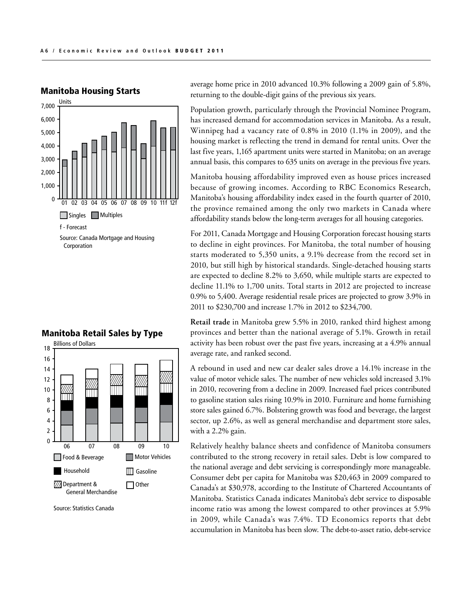

# Manitoba Housing Starts

average home price in 2010 advanced 10.3% following a 2009 gain of 5.8%, returning to the double-digit gains of the previous six years.

Population growth, particularly through the Provincial Nominee Program, has increased demand for accommodation services in Manitoba. As a result, Winnipeg had a vacancy rate of 0.8% in 2010 (1.1% in 2009), and the housing market is reflecting the trend in demand for rental units. Over the last five years, 1,165 apartment units were started in Manitoba; on an average annual basis, this compares to 635 units on average in the previous five years.

Manitoba housing affordability improved even as house prices increased because of growing incomes. According to RBC Economics Research, Manitoba's housing affordability index eased in the fourth quarter of 2010, the province remained among the only two markets in Canada where affordability stands below the long-term averages for all housing categories.

For 2011, Canada Mortgage and Housing Corporation forecast housing starts to decline in eight provinces. For Manitoba, the total number of housing starts moderated to 5,350 units, a 9.1% decrease from the record set in 2010, but still high by historical standards. Single-detached housing starts are expected to decline 8.2% to 3,650, while multiple starts are expected to decline 11.1% to 1,700 units. Total starts in 2012 are projected to increase 0.9% to 5,400. Average residential resale prices are projected to grow 3.9% in 2011 to \$230,700 and increase 1.7% in 2012 to \$234,700.

**Retail trade** in Manitoba grew 5.5% in 2010, ranked third highest among provinces and better than the national average of 5.1%. Growth in retail activity has been robust over the past five years, increasing at a 4.9% annual average rate, and ranked second.

A rebound in used and new car dealer sales drove a 14.1% increase in the value of motor vehicle sales. The number of new vehicles sold increased 3.1% in 2010, recovering from a decline in 2009. Increased fuel prices contributed to gasoline station sales rising 10.9% in 2010. Furniture and home furnishing store sales gained 6.7%. Bolstering growth was food and beverage, the largest sector, up 2.6%, as well as general merchandise and department store sales, with a 2.2% gain.

Relatively healthy balance sheets and confidence of Manitoba consumers contributed to the strong recovery in retail sales. Debt is low compared to the national average and debt servicing is correspondingly more manageable. Consumer debt per capita for Manitoba was \$20,463 in 2009 compared to Canada's at \$30,978, according to the Institute of Chartered Accountants of Manitoba. Statistics Canada indicates Manitoba's debt service to disposable income ratio was among the lowest compared to other provinces at 5.9% in 2009, while Canada's was 7.4%. TD Economics reports that debt accumulation in Manitoba has been slow. The debt-to-asset ratio, debt-service

#### Manitoba Retail Sales by Type



Source: Statistics Canada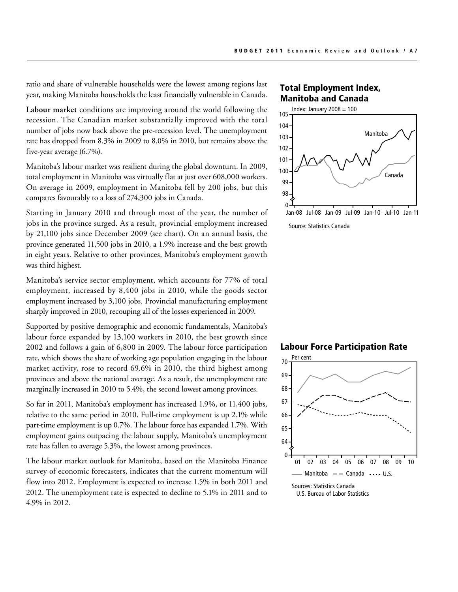ratio and share of vulnerable households were the lowest among regions last year, making Manitoba households the least financially vulnerable in Canada.

**Labour market** conditions are improving around the world following the recession. The Canadian market substantially improved with the total number of jobs now back above the pre-recession level. The unemployment rate has dropped from 8.3% in 2009 to 8.0% in 2010, but remains above the five-year average (6.7%).

Manitoba's labour market was resilient during the global downturn. In 2009, total employment in Manitoba was virtually flat at just over 608,000 workers. On average in 2009, employment in Manitoba fell by 200 jobs, but this compares favourably to a loss of 274,300 jobs in Canada.

Starting in January 2010 and through most of the year, the number of jobs in the province surged. As a result, provincial employment increased by 21,100 jobs since December 2009 (see chart). On an annual basis, the province generated 11,500 jobs in 2010, a 1.9% increase and the best growth in eight years. Relative to other provinces, Manitoba's employment growth was third highest.

Manitoba's service sector employment, which accounts for 77% of total employment, increased by 8,400 jobs in 2010, while the goods sector employment increased by 3,100 jobs. Provincial manufacturing employment sharply improved in 2010, recouping all of the losses experienced in 2009.

Supported by positive demographic and economic fundamentals, Manitoba's labour force expanded by 13,100 workers in 2010, the best growth since 2002 and follows a gain of 6,800 in 2009. The labour force participation rate, which shows the share of working age population engaging in the labour market activity, rose to record 69.6% in 2010, the third highest among provinces and above the national average. As a result, the unemployment rate marginally increased in 2010 to 5.4%, the second lowest among provinces.

So far in 2011, Manitoba's employment has increased 1.9%, or 11,400 jobs, relative to the same period in 2010. Full-time employment is up 2.1% while part-time employment is up 0.7%. The labour force has expanded 1.7%. With employment gains outpacing the labour supply, Manitoba's unemployment rate has fallen to average 5.3%, the lowest among provinces.

The labour market outlook for Manitoba, based on the Manitoba Finance survey of economic forecasters, indicates that the current momentum will flow into 2012. Employment is expected to increase 1.5% in both 2011 and 2012. The unemployment rate is expected to decline to 5.1% in 2011 and to 4.9% in 2012.

#### Total Employment Index, Manitoba and Canada



Source: Statistics Canada



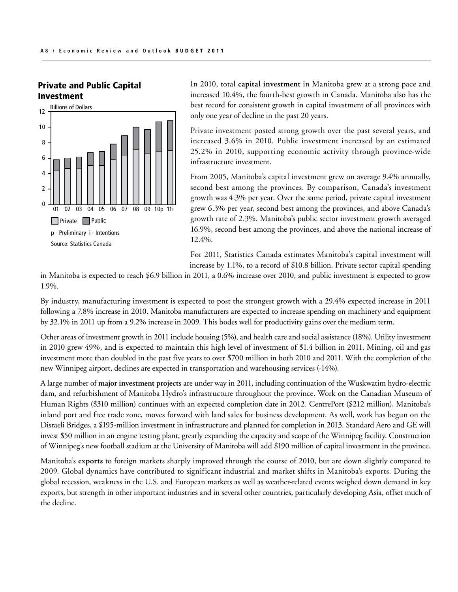

#### Private and Public Capital Investment

In 2010, total **capital investment** in Manitoba grew at a strong pace and increased 10.4%, the fourth-best growth in Canada. Manitoba also has the best record for consistent growth in capital investment of all provinces with only one year of decline in the past 20 years.

Private investment posted strong growth over the past several years, and increased 3.6% in 2010. Public investment increased by an estimated 25.2% in 2010, supporting economic activity through province-wide infrastructure investment.

From 2005, Manitoba's capital investment grew on average 9.4% annually, second best among the provinces. By comparison, Canada's investment growth was 4.3% per year. Over the same period, private capital investment grew 6.3% per year, second best among the provinces, and above Canada's growth rate of 2.3%. Manitoba's public sector investment growth averaged 16.9%, second best among the provinces, and above the national increase of 12.4%.

For 2011, Statistics Canada estimates Manitoba's capital investment will increase by 1.1%, to a record of \$10.8 billion. Private sector capital spending

in Manitoba is expected to reach \$6.9 billion in 2011, a 0.6% increase over 2010, and public investment is expected to grow 1.9%.

By industry, manufacturing investment is expected to post the strongest growth with a 29.4% expected increase in 2011 following a 7.8% increase in 2010. Manitoba manufacturers are expected to increase spending on machinery and equipment by 32.1% in 2011 up from a 9.2% increase in 2009. This bodes well for productivity gains over the medium term.

Other areas of investment growth in 2011 include housing (5%), and health care and social assistance (18%). Utility investment in 2010 grew 49%, and is expected to maintain this high level of investment of \$1.4 billion in 2011. Mining, oil and gas investment more than doubled in the past five years to over \$700 million in both 2010 and 2011. With the completion of the new Winnipeg airport, declines are expected in transportation and warehousing services (-14%). Created: Tues, 22 March, 2011

A large number of **major investment projects** are under way in 2011, including continuation of the Wuskwatim hydro-electric dam, and refurbishment of Manitoba Hydro's infrastructure throughout the province. Work on the Canadian Museum of Human Rights (\$310 million) continues with an expected completion date in 2012. CentrePort (\$212 million), Manitoba's inland port and free trade zone, moves forward with land sales for business development. As well, work has begun on the Disraeli Bridges, a \$195-million investment in infrastructure and planned for completion in 2013. Standard Aero and GE will invest \$50 million in an engine testing plant, greatly expanding the capacity and scope of the Winnipeg facility. Construction of Winnipeg's new football stadium at the University of Manitoba will add \$190 million of capital investment in the province.

Manitoba's **exports** to foreign markets sharply improved through the course of 2010, but are down slightly compared to 2009. Global dynamics have contributed to significant industrial and market shifts in Manitoba's exports. During the global recession, weakness in the U.S. and European markets as well as weather-related events weighed down demand in key exports, but strength in other important industries and in several other countries, particularly developing Asia, offset much of the decline.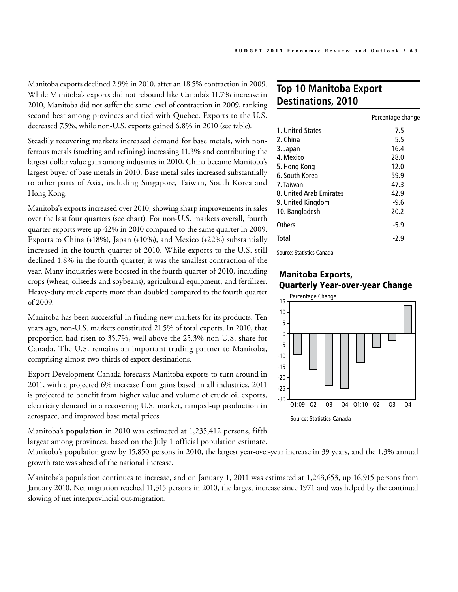Manitoba exports declined 2.9% in 2010, after an 18.5% contraction in 2009. While Manitoba's exports did not rebound like Canada's 11.7% increase in 2010, Manitoba did not suffer the same level of contraction in 2009, ranking second best among provinces and tied with Quebec. Exports to the U.S. decreased 7.5%, while non-U.S. exports gained 6.8% in 2010 (see table).

Steadily recovering markets increased demand for base metals, with nonferrous metals (smelting and refining) increasing 11.3% and contributing the largest dollar value gain among industries in 2010. China became Manitoba's largest buyer of base metals in 2010. Base metal sales increased substantially to other parts of Asia, including Singapore, Taiwan, South Korea and Hong Kong.

Manitoba's exports increased over 2010, showing sharp improvements in sales over the last four quarters (see chart). For non-U.S. markets overall, fourth quarter exports were up 42% in 2010 compared to the same quarter in 2009. Exports to China (+18%), Japan (+10%), and Mexico (+22%) substantially increased in the fourth quarter of 2010. While exports to the U.S. still declined 1.8% in the fourth quarter, it was the smallest contraction of the year. Many industries were boosted in the fourth quarter of 2010, including crops (wheat, oilseeds and soybeans), agricultural equipment, and fertilizer. Heavy-duty truck exports more than doubled compared to the fourth quarter of 2009.

Manitoba has been successful in finding new markets for its products. Ten years ago, non-U.S. markets constituted 21.5% of total exports. In 2010, that proportion had risen to 35.7%, well above the 25.3% non-U.S. share for Canada. The U.S. remains an important trading partner to Manitoba, comprising almost two-thirds of export destinations.

Export Development Canada forecasts Manitoba exports to turn around in 2011, with a projected 6% increase from gains based in all industries. 2011 is projected to benefit from higher value and volume of crude oil exports, electricity demand in a recovering U.S. market, ramped-up production in aerospace, and improved base metal prices.

Manitoba's **population** in 2010 was estimated at 1,235,412 persons, fifth largest among provinces, based on the July 1 official population estimate.

Manitoba's population grew by 15,850 persons in 2010, the largest year-over-year increase in 39 years, and the 1.3% annual growth rate was ahead of the national increase.

Manitoba's population continues to increase, and on January 1, 2011 was estimated at 1,243,653, up 16,915 persons from January 2010. Net migration reached 11,315 persons in 2010, the largest increase since 1971 and was helped by the continual slowing of net interprovincial out-migration.  $cc$  17/1 and was helped

## **Top 10 Manitoba Export Destinations, 2010**

|                         | Percentage change |
|-------------------------|-------------------|
| 1. United States        | $-7.5$            |
| 2. China                | 5.5               |
| 3. Japan                | 16.4              |
| 4. Mexico               | 28.0              |
| 5. Hong Kong            | 12.0              |
| 6. South Korea          | 59.9              |
| 7. Taiwan               | 47.3              |
| 8. United Arab Emirates | 42.9              |
| 9. United Kingdom       | $-9.6$            |
| 10. Bangladesh          | 20.2              |
| Others                  | $-5.9$            |
| Total                   | $-2.9$            |
|                         |                   |

Source: Statistics Canada

#### Manitoba Exports, Quarterly Year-over-year Change

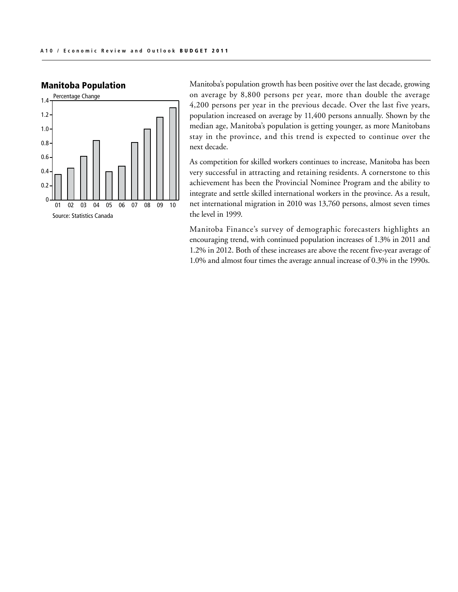

#### Manitoba Population

Manitoba's population growth has been positive over the last decade, growing on average by 8,800 persons per year, more than double the average 4,200 persons per year in the previous decade. Over the last five years, population increased on average by 11,400 persons annually. Shown by the median age, Manitoba's population is getting younger, as more Manitobans stay in the province, and this trend is expected to continue over the next decade.

As competition for skilled workers continues to increase, Manitoba has been very successful in attracting and retaining residents. A cornerstone to this achievement has been the Provincial Nominee Program and the ability to integrate and settle skilled international workers in the province. As a result, net international migration in 2010 was 13,760 persons, almost seven times the level in 1999.

Manitoba Finance's survey of demographic forecasters highlights an encouraging trend, with continued population increases of 1.3% in 2011 and 1.2% in 2012. Both of these increases are above the recent five-year average of 1.0% and almost four times the average annual increase of 0.3% in the 1990s.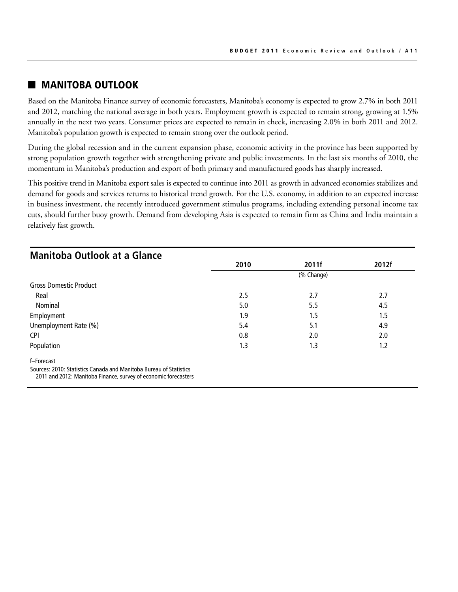## **NANITOBA OUTLOOK**

Based on the Manitoba Finance survey of economic forecasters, Manitoba's economy is expected to grow 2.7% in both 2011 and 2012, matching the national average in both years. Employment growth is expected to remain strong, growing at 1.5% annually in the next two years. Consumer prices are expected to remain in check, increasing 2.0% in both 2011 and 2012. Manitoba's population growth is expected to remain strong over the outlook period.

During the global recession and in the current expansion phase, economic activity in the province has been supported by strong population growth together with strengthening private and public investments. In the last six months of 2010, the momentum in Manitoba's production and export of both primary and manufactured goods has sharply increased.

This positive trend in Manitoba export sales is expected to continue into 2011 as growth in advanced economies stabilizes and demand for goods and services returns to historical trend growth. For the U.S. economy, in addition to an expected increase in business investment, the recently introduced government stimulus programs, including extending personal income tax cuts, should further buoy growth. Demand from developing Asia is expected to remain firm as China and India maintain a relatively fast growth.

| <b>Manitoba Outlook at a Glance</b>                                                                                                   |            |       |       |  |
|---------------------------------------------------------------------------------------------------------------------------------------|------------|-------|-------|--|
|                                                                                                                                       | 2010       | 2011f | 2012f |  |
|                                                                                                                                       | (% Change) |       |       |  |
| <b>Gross Domestic Product</b>                                                                                                         |            |       |       |  |
| Real                                                                                                                                  | 2.5        | 2.7   | 2.7   |  |
| Nominal                                                                                                                               | 5.0        | 5.5   | 4.5   |  |
| Employment                                                                                                                            | 1.9        | 1.5   | 1.5   |  |
| Unemployment Rate (%)                                                                                                                 | 5.4        | 5.1   | 4.9   |  |
| <b>CPI</b>                                                                                                                            | 0.8        | 2.0   | 2.0   |  |
| Population                                                                                                                            | 1.3        | 1.3   | 1.2   |  |
| f-Forecast                                                                                                                            |            |       |       |  |
| Sources: 2010: Statistics Canada and Manitoba Bureau of Statistics<br>2011 and 2012: Manitoba Finance, survey of economic forecasters |            |       |       |  |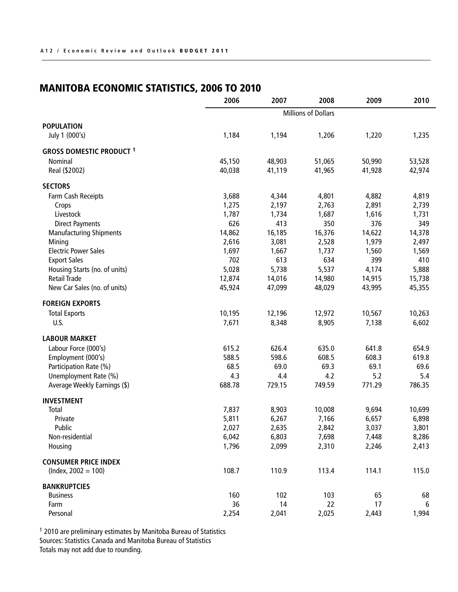## Manitoba Economic Statistics, 2006 to 2010

|                                 | 2006                       | 2007   | 2008   | 2009   | 2010   |
|---------------------------------|----------------------------|--------|--------|--------|--------|
|                                 | <b>Millions of Dollars</b> |        |        |        |        |
| <b>POPULATION</b>               |                            |        |        |        |        |
| July 1 (000's)                  | 1,184                      | 1,194  | 1,206  | 1,220  | 1,235  |
| <b>GROSS DOMESTIC PRODUCT 1</b> |                            |        |        |        |        |
| Nominal                         | 45,150                     | 48,903 | 51,065 | 50,990 | 53,528 |
| Real (\$2002)                   | 40,038                     | 41,119 | 41,965 | 41,928 | 42,974 |
| <b>SECTORS</b>                  |                            |        |        |        |        |
| Farm Cash Receipts              | 3,688                      | 4,344  | 4,801  | 4,882  | 4,819  |
| Crops                           | 1,275                      | 2,197  | 2,763  | 2,891  | 2,739  |
| Livestock                       | 1,787                      | 1,734  | 1,687  | 1,616  | 1,731  |
| <b>Direct Payments</b>          | 626                        | 413    | 350    | 376    | 349    |
| <b>Manufacturing Shipments</b>  | 14,862                     | 16,185 | 16,376 | 14,622 | 14,378 |
| Mining                          | 2,616                      | 3,081  | 2,528  | 1,979  | 2,497  |
| <b>Electric Power Sales</b>     | 1,697                      | 1,667  | 1,737  | 1,560  | 1,569  |
| <b>Export Sales</b>             | 702                        | 613    | 634    | 399    | 410    |
| Housing Starts (no. of units)   | 5,028                      | 5,738  | 5,537  | 4,174  | 5,888  |
| <b>Retail Trade</b>             | 12,874                     | 14,016 | 14,980 | 14,915 | 15,738 |
| New Car Sales (no. of units)    | 45,924                     | 47,099 | 48,029 | 43,995 | 45,355 |
| <b>FOREIGN EXPORTS</b>          |                            |        |        |        |        |
| <b>Total Exports</b>            | 10,195                     | 12,196 | 12,972 | 10,567 | 10,263 |
| U.S.                            | 7,671                      | 8,348  | 8,905  | 7,138  | 6,602  |
| <b>LABOUR MARKET</b>            |                            |        |        |        |        |
| Labour Force (000's)            | 615.2                      | 626.4  | 635.0  | 641.8  | 654.9  |
| Employment (000's)              | 588.5                      | 598.6  | 608.5  | 608.3  | 619.8  |
| Participation Rate (%)          | 68.5                       | 69.0   | 69.3   | 69.1   | 69.6   |
| Unemployment Rate (%)           | 4.3                        | 4.4    | 4.2    | 5.2    | 5.4    |
| Average Weekly Earnings (\$)    | 688.78                     | 729.15 | 749.59 | 771.29 | 786.35 |
| <b>INVESTMENT</b>               |                            |        |        |        |        |
| Total                           | 7,837                      | 8,903  | 10,008 | 9,694  | 10,699 |
| Private                         | 5,811                      | 6,267  | 7,166  | 6,657  | 6,898  |
| Public                          | 2,027                      | 2,635  | 2,842  | 3,037  | 3,801  |
| Non-residential                 | 6,042                      | 6,803  | 7,698  | 7,448  | 8,286  |
| Housing                         | 1,796                      | 2,099  | 2,310  | 2,246  | 2,413  |
| <b>CONSUMER PRICE INDEX</b>     |                            |        |        |        |        |
| $(hdex, 2002 = 100)$            | 108.7                      | 110.9  | 113.4  | 114.1  | 115.0  |
| <b>BANKRUPTCIES</b>             |                            |        |        |        |        |
| <b>Business</b>                 | 160                        | 102    | 103    | 65     | 68     |
| Farm                            | 36                         | 14     | 22     | 17     | 6      |
| Personal                        | 2,254                      | 2,041  | 2,025  | 2,443  | 1,994  |

1 2010 are preliminary estimates by Manitoba Bureau of Statistics Sources: Statistics Canada and Manitoba Bureau of Statistics Totals may not add due to rounding.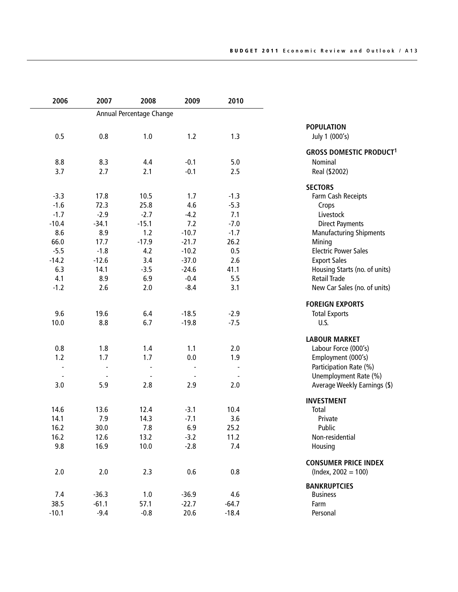| 2006                     | 2007    | 2008                     | 2009    | 2010    |                                           |
|--------------------------|---------|--------------------------|---------|---------|-------------------------------------------|
|                          |         | Annual Percentage Change |         |         |                                           |
|                          |         |                          |         |         | <b>POPULATION</b>                         |
| 0.5                      | 0.8     | 1.0                      | 1.2     | 1.3     | July 1 (000's)                            |
|                          |         |                          |         |         | <b>GROSS DOMESTIC PRODUCT<sup>1</sup></b> |
| 8.8                      | 8.3     | 4.4                      | $-0.1$  | 5.0     | Nominal                                   |
| 3.7                      | 2.7     | 2.1                      | $-0.1$  | 2.5     | Real (\$2002)                             |
|                          |         |                          |         |         | <b>SECTORS</b>                            |
| $-3.3$                   | 17.8    | 10.5                     | 1.7     | $-1.3$  | Farm Cash Receipts                        |
| $-1.6$                   | 72.3    | 25.8                     | 4.6     | $-5.3$  | Crops                                     |
| $-1.7$                   | $-2.9$  | $-2.7$                   | $-4.2$  | 7.1     | Livestock                                 |
| $-10.4$                  | $-34.1$ | $-15.1$                  | 7.2     | $-7.0$  | <b>Direct Payments</b>                    |
| 8.6                      | 8.9     | 1.2                      | $-10.7$ | $-1.7$  | <b>Manufacturing Shipments</b>            |
| 66.0                     | 17.7    | $-17.9$                  | $-21.7$ | 26.2    | Mining                                    |
| $-5.5$                   | $-1.8$  | 4.2                      | $-10.2$ | 0.5     | <b>Electric Power Sales</b>               |
| $-14.2$                  | $-12.6$ | 3.4                      | $-37.0$ | 2.6     | <b>Export Sales</b>                       |
| 6.3                      | 14.1    | $-3.5$                   | $-24.6$ | 41.1    | Housing Starts (no. of units)             |
| 4.1                      | 8.9     | 6.9                      | $-0.4$  | 5.5     | <b>Retail Trade</b>                       |
|                          |         |                          | $-8.4$  |         |                                           |
| $-1.2$                   | 2.6     | 2.0                      |         | 3.1     | New Car Sales (no. of units)              |
|                          |         |                          |         |         | <b>FOREIGN EXPORTS</b>                    |
| 9.6                      | 19.6    | 6.4                      | $-18.5$ | $-2.9$  | <b>Total Exports</b>                      |
| 10.0                     | 8.8     | 6.7                      | $-19.8$ | $-7.5$  | U.S.                                      |
|                          |         |                          |         |         | <b>LABOUR MARKET</b>                      |
| 0.8                      | 1.8     | 1.4                      | 1.1     | 2.0     | Labour Force (000's)                      |
| 1.2                      | 1.7     | 1.7                      | 0.0     | 1.9     | Employment (000's)                        |
| $\overline{\phantom{a}}$ |         |                          |         |         | Participation Rate (%)                    |
| $\overline{\phantom{m}}$ |         |                          |         |         | Unemployment Rate (%)                     |
| 3.0                      | 5.9     | 2.8                      | 2.9     | 2.0     | Average Weekly Earnings (\$)              |
|                          |         |                          |         |         | <b>INVESTMENT</b>                         |
| 14.6                     | 13.6    | 12.4                     | $-3.1$  | 10.4    | Total                                     |
| 14.1                     | 7.9     | 14.3                     | $-7.1$  | 3.6     | Private                                   |
| 16.2                     | 30.0    | 7.8                      | 6.9     | 25.2    | Public                                    |
| 16.2                     | 12.6    | 13.2                     | $-3.2$  | 11.2    | Non-residential                           |
| 9.8                      | 16.9    | 10.0                     | $-2.8$  | 7.4     | Housing                                   |
|                          |         |                          |         |         |                                           |
|                          |         |                          |         |         | <b>CONSUMER PRICE INDEX</b>               |
| 2.0                      | 2.0     | 2.3                      | 0.6     | 0.8     | $(hdex, 2002 = 100)$                      |
|                          |         |                          |         |         | <b>BANKRUPTCIES</b>                       |
| 7.4                      | $-36.3$ | 1.0                      | $-36.9$ | 4.6     | <b>Business</b>                           |
| 38.5                     | $-61.1$ | 57.1                     | $-22.7$ | $-64.7$ | Farm                                      |
| $-10.1$                  | $-9.4$  | $-0.8$                   | 20.6    | $-18.4$ | Personal                                  |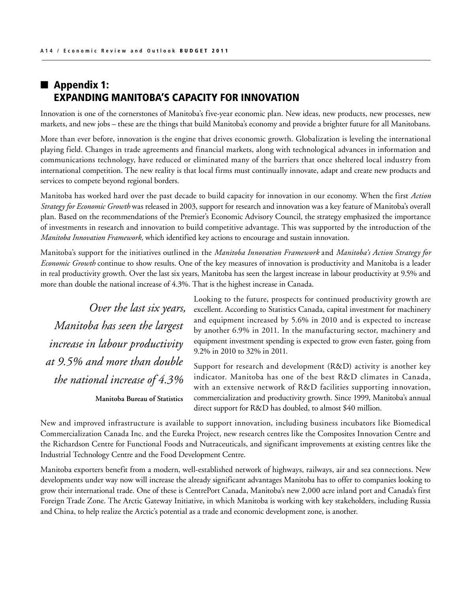## $\blacksquare$  Appendix 1: EXPANDING MANITOBA'S CAPACITY FOR INNOVATION

Innovation is one of the cornerstones of Manitoba's five-year economic plan. New ideas, new products, new processes, new markets, and new jobs – these are the things that build Manitoba's economy and provide a brighter future for all Manitobans.

More than ever before, innovation is the engine that drives economic growth. Globalization is leveling the international playing field. Changes in trade agreements and financial markets, along with technological advances in information and communications technology, have reduced or eliminated many of the barriers that once sheltered local industry from international competition. The new reality is that local firms must continually innovate, adapt and create new products and services to compete beyond regional borders.

Manitoba has worked hard over the past decade to build capacity for innovation in our economy. When the first *Action Strategy for Economic Growth* was released in 2003, support for research and innovation was a key feature of Manitoba's overall plan. Based on the recommendations of the Premier's Economic Advisory Council, the strategy emphasized the importance of investments in research and innovation to build competitive advantage. This was supported by the introduction of the *Manitoba Innovation Framework*, which identified key actions to encourage and sustain innovation.

Manitoba's support for the initiatives outlined in the *Manitoba Innovation Framework* and *Manitoba's Action Strategy for Economic Growth* continue to show results. One of the key measures of innovation is productivity and Manitoba is a leader in real productivity growth. Over the last six years, Manitoba has seen the largest increase in labour productivity at 9.5% and more than double the national increase of 4.3%. That is the highest increase in Canada.

*Over the last six years, Manitoba has seen the largest increase in labour productivity at 9.5% and more than double the national increase of 4.3%*

**Manitoba Bureau of Statistics** 

Looking to the future, prospects for continued productivity growth are excellent. According to Statistics Canada, capital investment for machinery and equipment increased by 5.6% in 2010 and is expected to increase by another 6.9% in 2011. In the manufacturing sector, machinery and equipment investment spending is expected to grow even faster, going from 9.2% in 2010 to 32% in 2011.

Support for research and development (R&D) activity is another key indicator. Manitoba has one of the best R&D climates in Canada, with an extensive network of R&D facilities supporting innovation, commercialization and productivity growth. Since 1999, Manitoba's annual direct support for R&D has doubled, to almost \$40 million.

New and improved infrastructure is available to support innovation, including business incubators like Biomedical Commercialization Canada Inc. and the Eureka Project, new research centres like the Composites Innovation Centre and the Richardson Centre for Functional Foods and Nutraceuticals, and significant improvements at existing centres like the Industrial Technology Centre and the Food Development Centre.

Manitoba exporters benefit from a modern, well-established network of highways, railways, air and sea connections. New developments under way now will increase the already significant advantages Manitoba has to offer to companies looking to grow their international trade. One of these is CentrePort Canada, Manitoba's new 2,000 acre inland port and Canada's first Foreign Trade Zone. The Arctic Gateway Initiative, in which Manitoba is working with key stakeholders, including Russia and China, to help realize the Arctic's potential as a trade and economic development zone, is another.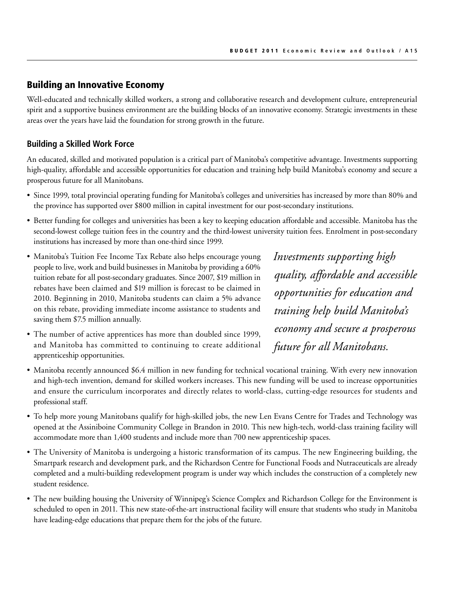## Building an Innovative Economy

Well-educated and technically skilled workers, a strong and collaborative research and development culture, entrepreneurial spirit and a supportive business environment are the building blocks of an innovative economy. Strategic investments in these areas over the years have laid the foundation for strong growth in the future.

#### **Building a Skilled Work Force**

An educated, skilled and motivated population is a critical part of Manitoba's competitive advantage. Investments supporting high-quality, affordable and accessible opportunities for education and training help build Manitoba's economy and secure a prosperous future for all Manitobans.

- • Since 1999, total provincial operating funding for Manitoba's colleges and universities has increased by more than 80% and the province has supported over \$800 million in capital investment for our post-secondary institutions.
- • Better funding for colleges and universities has been a key to keeping education affordable and accessible. Manitoba has the second-lowest college tuition fees in the country and the third-lowest university tuition fees. Enrolment in post-secondary institutions has increased by more than one-third since 1999.
- Manitoba's Tuition Fee Income Tax Rebate also helps encourage young people to live, work and build businesses in Manitoba by providing a 60% tuition rebate for all post-secondary graduates. Since 2007, \$19 million in rebates have been claimed and \$19 million is forecast to be claimed in 2010. Beginning in 2010, Manitoba students can claim a 5% advance on this rebate, providing immediate income assistance to students and saving them \$7.5 million annually.
- The number of active apprentices has more than doubled since 1999, and Manitoba has committed to continuing to create additional apprenticeship opportunities.

*Investments supporting high quality, affordable and accessible opportunities for education and training help build Manitoba's economy and secure a prosperous future for all Manitobans.*

- Manitoba recently announced \$6.4 million in new funding for technical vocational training. With every new innovation and high-tech invention, demand for skilled workers increases. This new funding will be used to increase opportunities and ensure the curriculum incorporates and directly relates to world-class, cutting-edge resources for students and professional staff.
- • To help more young Manitobans qualify for high-skilled jobs, the new Len Evans Centre for Trades and Technology was opened at the Assiniboine Community College in Brandon in 2010. This new high-tech, world-class training facility will accommodate more than 1,400 students and include more than 700 new apprenticeship spaces.
- • The University of Manitoba is undergoing a historic transformation of its campus. The new Engineering building, the Smartpark research and development park, and the Richardson Centre for Functional Foods and Nutraceuticals are already completed and a multi-building redevelopment program is under way which includes the construction of a completely new student residence.
- The new building housing the University of Winnipeg's Science Complex and Richardson College for the Environment is scheduled to open in 2011. This new state-of-the-art instructional facility will ensure that students who study in Manitoba have leading-edge educations that prepare them for the jobs of the future.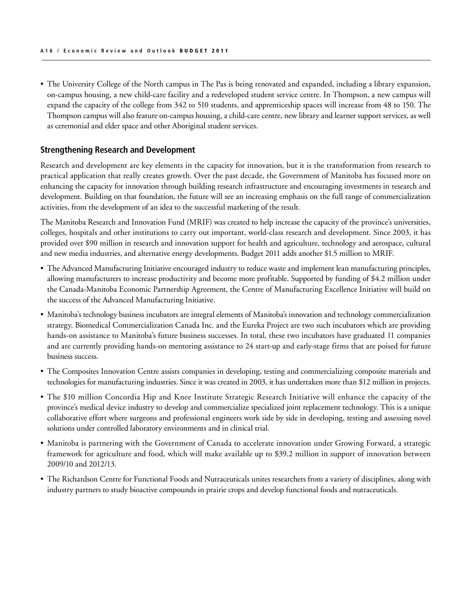• The University College of the North campus in The Pas is being renovated and expanded, including a library expansion, on-campus housing, a new child-care facility and a redeveloped student service centre. In Thompson, a new campus will expand the capacity of the college from 342 to 510 students, and apprenticeship spaces will increase from 48 to 150. The Thompson campus will also feature on-campus housing, a child-care centre, new library and learner support services, as well as ceremonial and elder space and other Aboriginal student services.

#### **Strengthening Research and Development**

Research and development are key elements in the capacity for innovation, but it is the transformation from research to practical application that really creates growth. Over the past decade, the Government of Manitoba has focused more on enhancing the capacity for innovation through building research infrastructure and encouraging investments in research and development. Building on that foundation, the future will see an increasing emphasis on the full range of commercialization activities, from the development of an idea to the successful marketing of the result.

The Manitoba Research and Innovation Fund (MRIF) was created to help increase the capacity of the province's universities, colleges, hospitals and other institutions to carry out important, world-class research and development. Since 2003, it has provided over \$90 million in research and innovation support for health and agriculture, technology and aerospace, cultural and new media industries, and alternative energy developments. Budget 2011 adds another \$1.5 million to MRIF.

- The Advanced Manufacturing Initiative encouraged industry to reduce waste and implement lean manufacturing principles, allowing manufacturers to increase productivity and become more profitable. Supported by funding of \$4.2 million under the Canada-Manitoba Economic Partnership Agreement, the Centre of Manufacturing Excellence Initiative will build on the success of the Advanced Manufacturing Initiative.
- • Manitoba's technology business incubators are integral elements of Manitoba's innovation and technology commercialization strategy. Biomedical Commercialization Canada Inc. and the Eureka Project are two such incubators which are providing hands-on assistance to Manitoba's future business successes. In total, these two incubators have graduated 11 companies and are currently providing hands-on mentoring assistance to 24 start-up and early-stage firms that are poised for future business success.
- The Composites Innovation Centre assists companies in developing, testing and commercializing composite materials and technologies for manufacturing industries. Since it was created in 2003, it has undertaken more than \$12 million in projects.
- • The \$10 million Concordia Hip and Knee Institute Strategic Research Initiative will enhance the capacity of the province's medical device industry to develop and commercialize specialized joint replacement technology. This is a unique collaborative effort where surgeons and professional engineers work side by side in developing, testing and assessing novel solutions under controlled laboratory environments and in clinical trial.
- • Manitoba is partnering with the Government of Canada to accelerate innovation under Growing Forward, a strategic framework for agriculture and food, which will make available up to \$39.2 million in support of innovation between 2009/10 and 2012/13.
- The Richardson Centre for Functional Foods and Nutraceuticals unites researchers from a variety of disciplines, along with industry partners to study bioactive compounds in prairie crops and develop functional foods and nutraceuticals.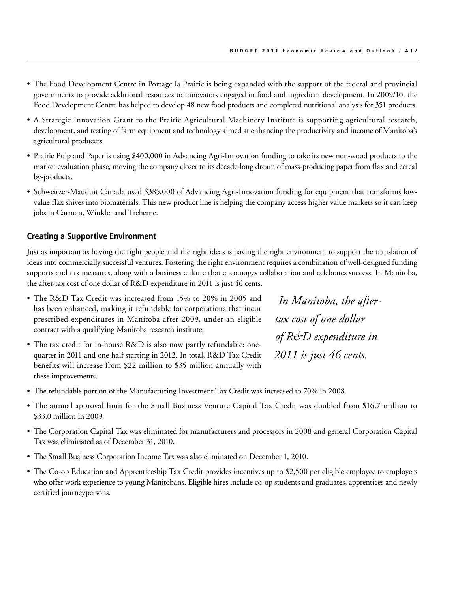- • The Food Development Centre in Portage la Prairie is being expanded with the support of the federal and provincial governments to provide additional resources to innovators engaged in food and ingredient development. In 2009/10, the Food Development Centre has helped to develop 48 new food products and completed nutritional analysis for 351 products.
- • A Strategic Innovation Grant to the Prairie Agricultural Machinery Institute is supporting agricultural research, development, and testing of farm equipment and technology aimed at enhancing the productivity and income of Manitoba's agricultural producers.
- Prairie Pulp and Paper is using \$400,000 in Advancing Agri-Innovation funding to take its new non-wood products to the market evaluation phase, moving the company closer to its decade-long dream of mass-producing paper from flax and cereal by-products.
- • Schweitzer-Mauduit Canada used \$385,000 of Advancing Agri-Innovation funding for equipment that transforms lowvalue flax shives into biomaterials. This new product line is helping the company access higher value markets so it can keep jobs in Carman, Winkler and Treherne.

#### **Creating a Supportive Environment**

Just as important as having the right people and the right ideas is having the right environment to support the translation of ideas into commercially successful ventures. Fostering the right environment requires a combination of well-designed funding supports and tax measures, along with a business culture that encourages collaboration and celebrates success. In Manitoba, the after-tax cost of one dollar of R&D expenditure in 2011 is just 46 cents.

- The R&D Tax Credit was increased from 15% to 20% in 2005 and has been enhanced, making it refundable for corporations that incur prescribed expenditures in Manitoba after 2009, under an eligible contract with a qualifying Manitoba research institute.
- The tax credit for in-house R&D is also now partly refundable: onequarter in 2011 and one-half starting in 2012. In total, R&D Tax Credit benefits will increase from \$22 million to \$35 million annually with these improvements.

 *In Manitoba, the aftertax cost of one dollar of R&D expenditure in 2011 is just 46 cents.*

- • The refundable portion of the Manufacturing Investment Tax Credit was increased to 70% in 2008.
- • The annual approval limit for the Small Business Venture Capital Tax Credit was doubled from \$16.7 million to \$33.0 million in 2009.
- The Corporation Capital Tax was eliminated for manufacturers and processors in 2008 and general Corporation Capital Tax was eliminated as of December 31, 2010.
- • The Small Business Corporation Income Tax was also eliminated on December 1, 2010.
- The Co-op Education and Apprenticeship Tax Credit provides incentives up to \$2,500 per eligible employee to employers who offer work experience to young Manitobans. Eligible hires include co-op students and graduates, apprentices and newly certified journeypersons.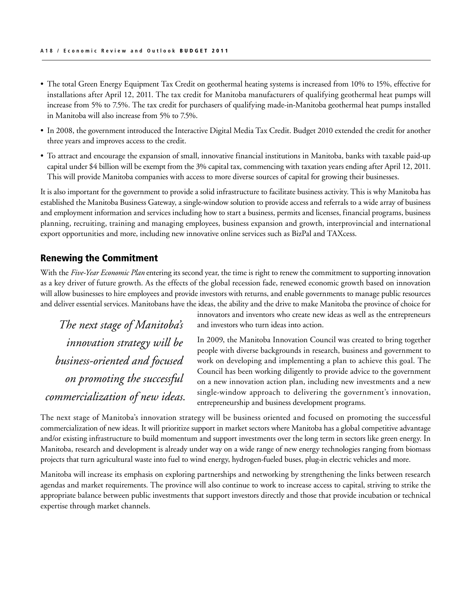- The total Green Energy Equipment Tax Credit on geothermal heating systems is increased from 10% to 15%, effective for installations after April 12, 2011. The tax credit for Manitoba manufacturers of qualifying geothermal heat pumps will increase from 5% to 7.5%. The tax credit for purchasers of qualifying made-in-Manitoba geothermal heat pumps installed in Manitoba will also increase from 5% to 7.5%.
- • In 2008, the government introduced the Interactive Digital Media Tax Credit. Budget 2010 extended the credit for another three years and improves access to the credit.
- To attract and encourage the expansion of small, innovative financial institutions in Manitoba, banks with taxable paid-up capital under \$4 billion will be exempt from the 3% capital tax, commencing with taxation years ending after April 12, 2011. This will provide Manitoba companies with access to more diverse sources of capital for growing their businesses.

It is also important for the government to provide a solid infrastructure to facilitate business activity. This is why Manitoba has established the Manitoba Business Gateway, a single-window solution to provide access and referrals to a wide array of business and employment information and services including how to start a business, permits and licenses, financial programs, business planning, recruiting, training and managing employees, business expansion and growth, interprovincial and international export opportunities and more, including new innovative online services such as BizPal and TAXcess.

#### Renewing the Commitment

With the *Five-Year Economic Plan* entering its second year, the time is right to renew the commitment to supporting innovation as a key driver of future growth. As the effects of the global recession fade, renewed economic growth based on innovation will allow businesses to hire employees and provide investors with returns, and enable governments to manage public resources and deliver essential services. Manitobans have the ideas, the ability and the drive to make Manitoba the province of choice for

*The next stage of Manitoba's innovation strategy will be business-oriented and focused on promoting the successful commercialization of new ideas.* innovators and inventors who create new ideas as well as the entrepreneurs and investors who turn ideas into action.

In 2009, the Manitoba Innovation Council was created to bring together people with diverse backgrounds in research, business and government to work on developing and implementing a plan to achieve this goal. The Council has been working diligently to provide advice to the government on a new innovation action plan, including new investments and a new single-window approach to delivering the government's innovation, entrepreneurship and business development programs.

The next stage of Manitoba's innovation strategy will be business oriented and focused on promoting the successful commercialization of new ideas. It will prioritize support in market sectors where Manitoba has a global competitive advantage and/or existing infrastructure to build momentum and support investments over the long term in sectors like green energy. In Manitoba, research and development is already under way on a wide range of new energy technologies ranging from biomass projects that turn agricultural waste into fuel to wind energy, hydrogen-fueled buses, plug-in electric vehicles and more.

Manitoba will increase its emphasis on exploring partnerships and networking by strengthening the links between research agendas and market requirements. The province will also continue to work to increase access to capital, striving to strike the appropriate balance between public investments that support investors directly and those that provide incubation or technical expertise through market channels.